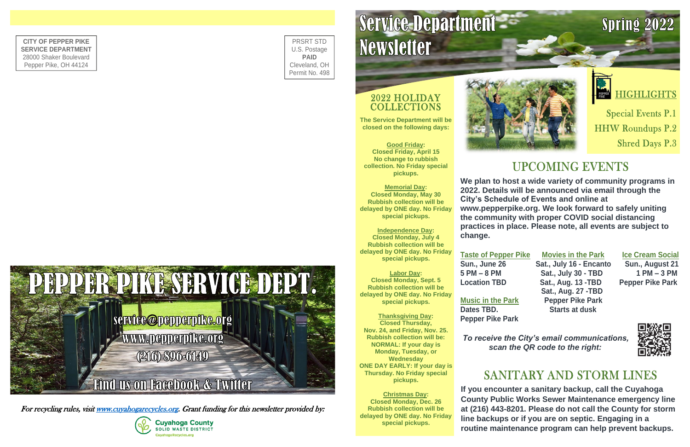**We plan to host a wide variety of community programs in 2022. Details will be announced via email through the City's Schedule of Events and online at www.pepperpike.org. We look forward to safely uniting the community with proper COVID social distancing practices in place. Please note, all events are subject to change.**

**Taste of Pepper Pike Movies in the Park Ice Cream Social Sun., June 26 Sat., July 16 - Encanto Sun., August 21 5 PM – 8 PM Sat., July 30 - TBD 1 PM – 3 PM Location TBD Sat., Aug. 13 -TBD Pepper Pike Park Sat., Aug. 27 -TBD Music in the Park Pepper Pike Park Dates TBD. Starts at dusk**

### 2022 HOLIDAY **COLLECTIONS**

**Pepper Pike Park** 

*To receive the City's email communications, scan the QR code to the right:* 

## SANITARY AND STORM LINES

**The Service Department will be closed on the following days:**

**Good Friday: Closed Friday, April 15 No change to rubbish collection. No Friday special pickups.**

**Memorial Day: Closed Monday, May 30 Rubbish collection will be delayed by ONE day. No Friday special pickups.**

**Independence Day: Closed Monday, July 4 Rubbish collection will be delayed by ONE day. No Friday special pickups.**

**Labor Day: Closed Monday, Sept. 5 Rubbish collection will be delayed by ONE day. No Friday special pickups.**

**Thanksgiving Day: Closed Thursday, Nov. 24, and Friday, Nov. 25. Rubbish collection will be: NORMAL: If your day is Monday, Tuesday, or Wednesday ONE DAY EARLY: If your day is Thursday. No Friday special pickups.**

**Christmas Day: Closed Monday, Dec. 26 Rubbish collection will be delayed by ONE day. No Friday special pickups.**



PRSRT STD U.S. Postage **PAID** Cleveland, OH Permit No. 498

# Service Department **Newsletter**

**CITY OF PEPPER PIKE SERVICE DEPARTMENT** 28000 Shaker Boulevard Pepper Pike, OH 44124

> **If you encounter a sanitary backup, call the Cuyahoga County Public Works Sewer Maintenance emergency line at (216) 443-8201. Please do not call the County for storm line backups or if you are on septic. Engaging in a routine maintenance program can help prevent backups.**



For recycling rules, visi[t www.cuyahogarecycles.org.](http://www.cuyahogarecycles.org/) Grant funding for this newsletter provided by:



## Spring 2022





## **HIGHLIGHTS**

**Special Events P.1 HHW Roundups P.2 Shred Days P.3** 

## **UPCOMING EVENTS**